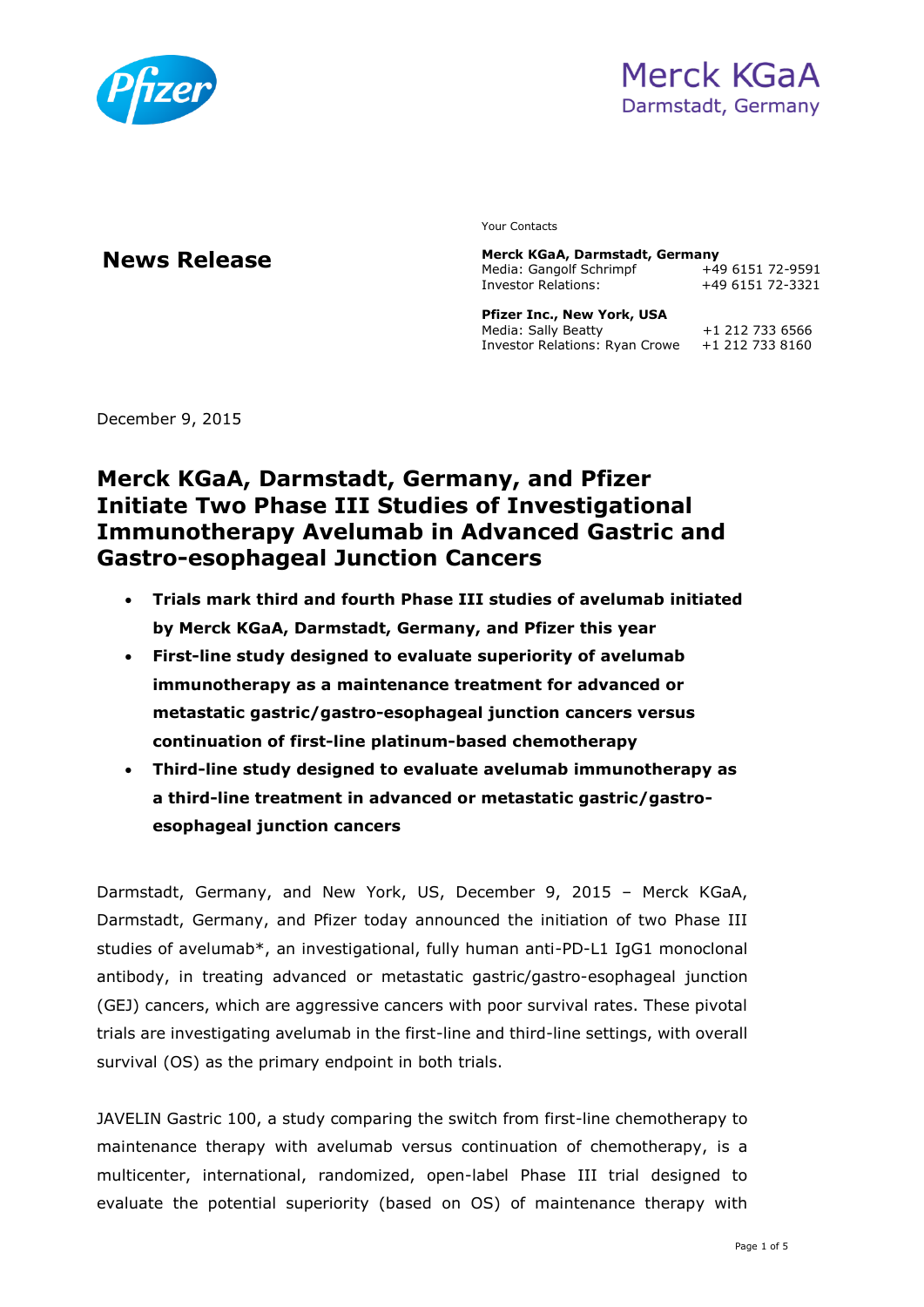

Your Contacts

**News Release Merck KGaA, Darmstadt, Germany**  Media: Gangolf Schrimpf +49 6151 72-9591 Investor Relations: +49 6151 72-3321 **Pfizer Inc., New York, USA**

| FILLE LIIC., NEW TUIN, USA     |                 |
|--------------------------------|-----------------|
| Media: Sally Beatty            | +1 212 733 6566 |
| Investor Relations: Ryan Crowe | +1 212 733 8160 |

December 9, 2015

# **Merck KGaA, Darmstadt, Germany, and Pfizer Initiate Two Phase III Studies of Investigational Immunotherapy Avelumab in Advanced Gastric and Gastro-esophageal Junction Cancers**

- **Trials mark third and fourth Phase III studies of avelumab initiated by Merck KGaA, Darmstadt, Germany, and Pfizer this year**
- **First-line study designed to evaluate superiority of avelumab immunotherapy as a maintenance treatment for advanced or metastatic gastric/gastro-esophageal junction cancers versus continuation of first-line platinum-based chemotherapy**
- **Third-line study designed to evaluate avelumab immunotherapy as a third-line treatment in advanced or metastatic gastric/gastroesophageal junction cancers**

Darmstadt, Germany, and New York, US, December 9, 2015 – Merck KGaA, Darmstadt, Germany, and Pfizer today announced the initiation of two Phase III studies of avelumab\*, an investigational, fully human anti-PD-L1 IgG1 monoclonal antibody, in treating advanced or metastatic gastric/gastro-esophageal junction (GEJ) cancers, which are aggressive cancers with poor survival rates. These pivotal trials are investigating avelumab in the first-line and third-line settings, with overall survival (OS) as the primary endpoint in both trials.

JAVELIN Gastric 100, a study comparing the switch from first-line chemotherapy to maintenance therapy with avelumab versus continuation of chemotherapy, is a multicenter, international, randomized, open-label Phase III trial designed to evaluate the potential superiority (based on OS) of maintenance therapy with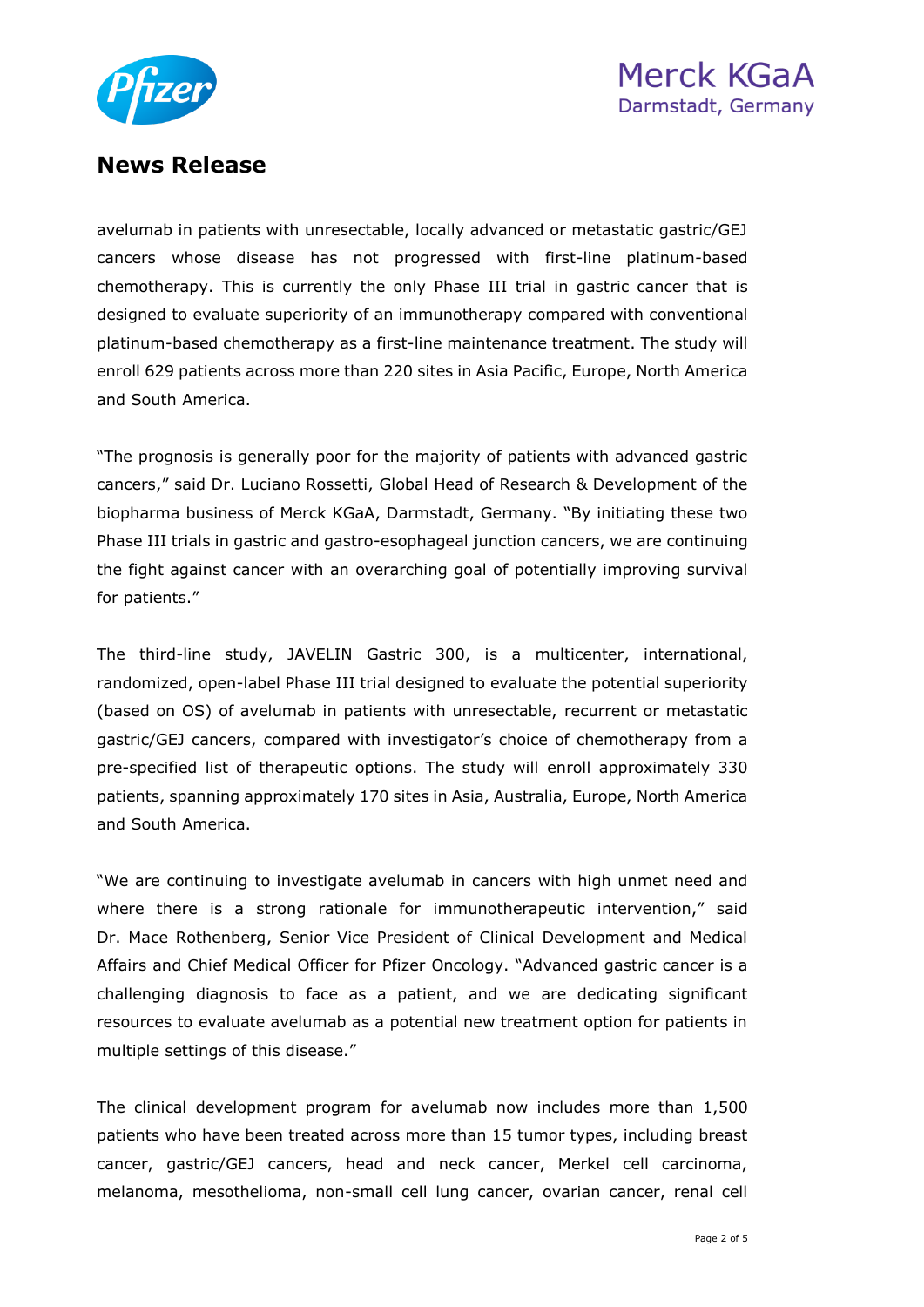



avelumab in patients with unresectable, locally advanced or metastatic gastric/GEJ cancers whose disease has not progressed with first-line platinum-based chemotherapy. This is currently the only Phase III trial in gastric cancer that is designed to evaluate superiority of an immunotherapy compared with conventional platinum-based chemotherapy as a first-line maintenance treatment. The study will enroll 629 patients across more than 220 sites in Asia Pacific, Europe, North America and South America.

"The prognosis is generally poor for the majority of patients with advanced gastric cancers," said Dr. Luciano Rossetti, Global Head of Research & Development of the biopharma business of Merck KGaA, Darmstadt, Germany. "By initiating these two Phase III trials in gastric and gastro-esophageal junction cancers, we are continuing the fight against cancer with an overarching goal of potentially improving survival for patients."

The third-line study, JAVELIN Gastric 300, is a multicenter, international, randomized, open-label Phase III trial designed to evaluate the potential superiority (based on OS) of avelumab in patients with unresectable, recurrent or metastatic gastric/GEJ cancers, compared with investigator's choice of chemotherapy from a pre-specified list of therapeutic options. The study will enroll approximately 330 patients, spanning approximately 170 sites in Asia, Australia, Europe, North America and South America.

"We are continuing to investigate avelumab in cancers with high unmet need and where there is a strong rationale for immunotherapeutic intervention," said Dr. Mace Rothenberg, Senior Vice President of Clinical Development and Medical Affairs and Chief Medical Officer for Pfizer Oncology. "Advanced gastric cancer is a challenging diagnosis to face as a patient, and we are dedicating significant resources to evaluate avelumab as a potential new treatment option for patients in multiple settings of this disease."

The clinical development program for avelumab now includes more than 1,500 patients who have been treated across more than 15 tumor types, including breast cancer, gastric/GEJ cancers, head and neck cancer, Merkel cell carcinoma, melanoma, mesothelioma, non-small cell lung cancer, ovarian cancer, renal cell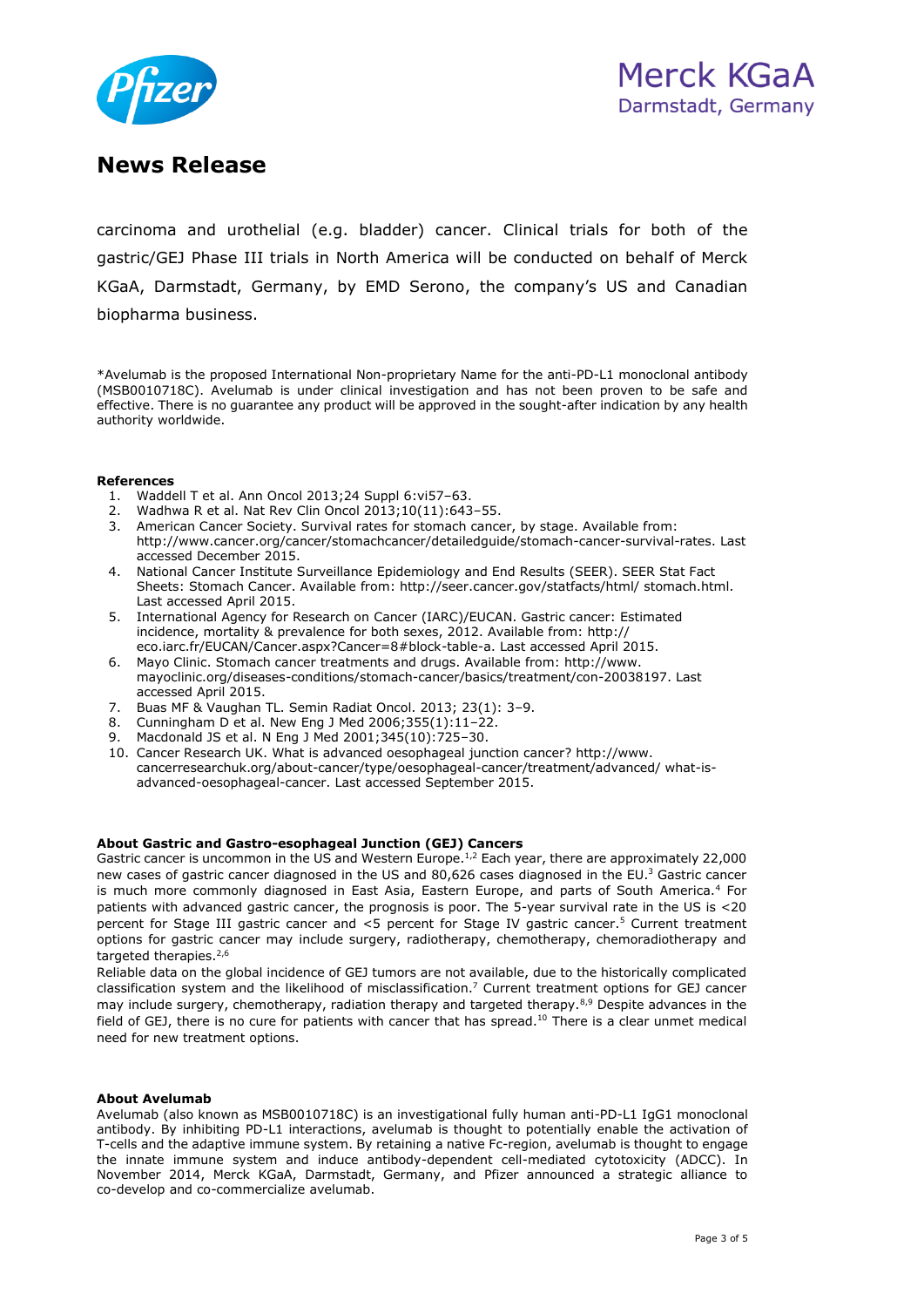

carcinoma and urothelial (e.g. bladder) cancer. Clinical trials for both of the gastric/GEJ Phase III trials in North America will be conducted on behalf of Merck KGaA, Darmstadt, Germany, by EMD Serono, the company's US and Canadian biopharma business.

\*Avelumab is the proposed International Non-proprietary Name for the anti-PD-L1 monoclonal antibody (MSB0010718C). Avelumab is under clinical investigation and has not been proven to be safe and effective. There is no guarantee any product will be approved in the sought-after indication by any health authority worldwide.

### **References**

- 1. Waddell T et al. Ann Oncol 2013;24 Suppl 6:vi57–63.
- 2. Wadhwa R et al. Nat Rev Clin Oncol 2013;10(11):643–55.
- 3. American Cancer Society. Survival rates for stomach cancer, by stage. Available from: http://www.cancer.org/cancer/stomachcancer/detailedguide/stomach-cancer-survival-rates. Last accessed December 2015.
- 4. National Cancer Institute Surveillance Epidemiology and End Results (SEER). SEER Stat Fact Sheets: Stomach Cancer. Available from: http://seer.cancer.gov/statfacts/html/ stomach.html. Last accessed April 2015.
- 5. International Agency for Research on Cancer (IARC)/EUCAN. Gastric cancer: Estimated incidence, mortality & prevalence for both sexes, 2012. Available from: http:// eco.iarc.fr/EUCAN/Cancer.aspx?Cancer=8#block-table-a. Last accessed April 2015.
- 6. Mayo Clinic. Stomach cancer treatments and drugs. Available from: http://www. mayoclinic.org/diseases-conditions/stomach-cancer/basics/treatment/con-20038197. Last accessed April 2015.
- 7. Buas MF & Vaughan TL. Semin Radiat Oncol. 2013; 23(1): 3–9.
- 8. Cunningham D et al. New Eng J Med 2006;355(1):11–22.
- 9. Macdonald JS et al. N Eng J Med 2001;345(10):725–30.
- 10. Cancer Research UK. What is advanced oesophageal junction cancer? http://www. cancerresearchuk.org/about-cancer/type/oesophageal-cancer/treatment/advanced/ what-isadvanced-oesophageal-cancer. Last accessed September 2015.

### **About Gastric and Gastro-esophageal Junction (GEJ) Cancers**

Gastric cancer is uncommon in the US and Western Europe.<sup>1,2</sup> Each year, there are approximately 22,000 new cases of gastric cancer diagnosed in the US and 80,626 cases diagnosed in the EU.<sup>3</sup> Gastric cancer is much more commonly diagnosed in East Asia, Eastern Europe, and parts of South America.<sup>4</sup> For patients with advanced gastric cancer, the prognosis is poor. The 5-year survival rate in the US is <20 percent for Stage III gastric cancer and <5 percent for Stage IV gastric cancer.<sup>5</sup> Current treatment options for gastric cancer may include surgery, radiotherapy, chemotherapy, chemoradiotherapy and targeted therapies.<sup>2,6</sup>

Reliable data on the global incidence of GEJ tumors are not available, due to the historically complicated classification system and the likelihood of misclassification.<sup>7</sup> Current treatment options for GEJ cancer may include surgery, chemotherapy, radiation therapy and targeted therapy.<sup>8,9</sup> Despite advances in the field of GEJ, there is no cure for patients with cancer that has spread.<sup>10</sup> There is a clear unmet medical need for new treatment options.

### **About Avelumab**

Avelumab (also known as MSB0010718C) is an investigational fully human anti-PD-L1 IgG1 monoclonal antibody. By inhibiting PD-L1 interactions, avelumab is thought to potentially enable the activation of T-cells and the adaptive immune system. By retaining a native Fc-region, avelumab is thought to engage the innate immune system and induce antibody-dependent cell-mediated cytotoxicity (ADCC). In November 2014, Merck KGaA, Darmstadt, Germany, and Pfizer announced a strategic alliance to co-develop and co-commercialize avelumab.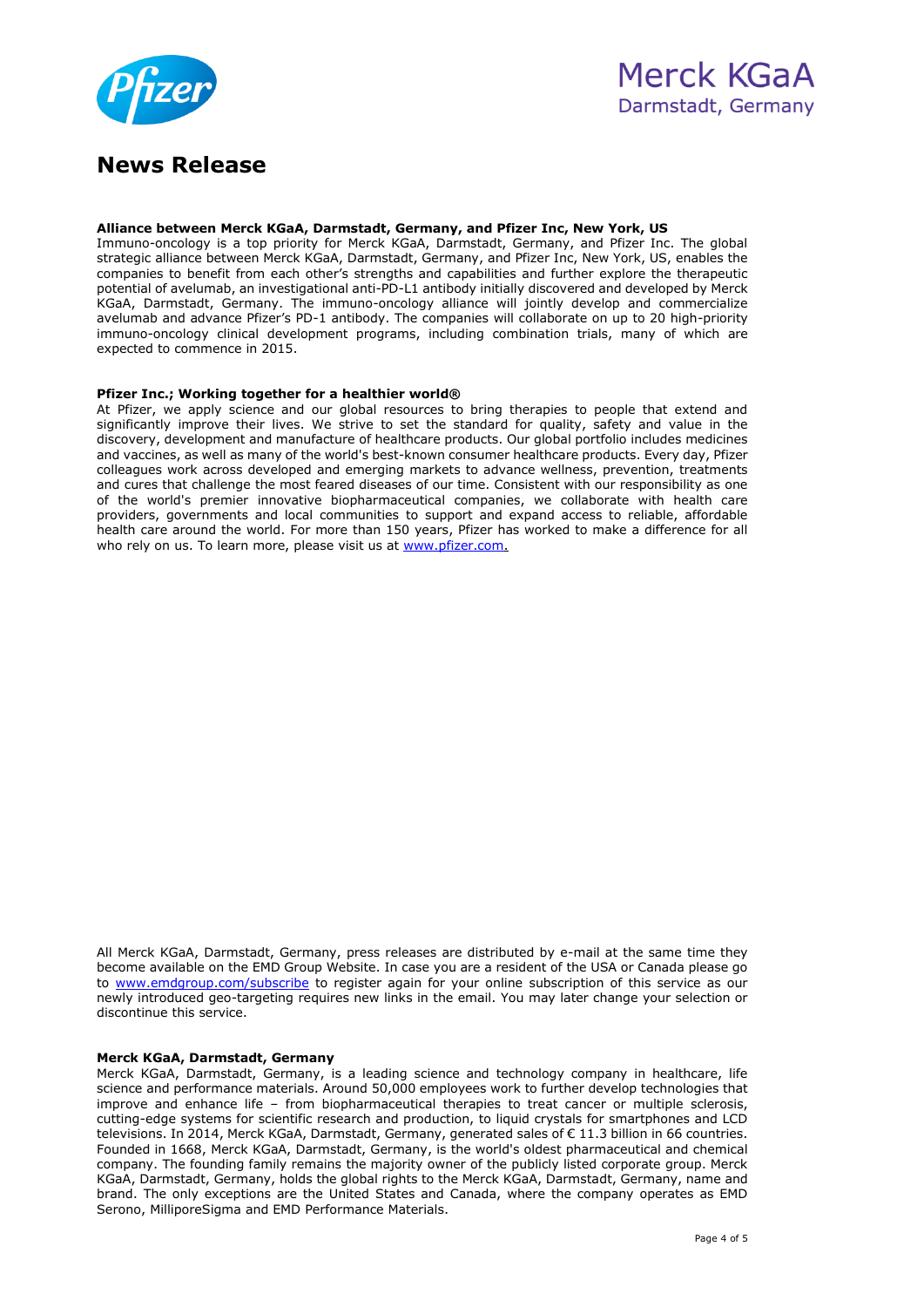

### **Alliance between Merck KGaA, Darmstadt, Germany, and Pfizer Inc, New York, US**

Immuno-oncology is a top priority for Merck KGaA, Darmstadt, Germany, and Pfizer Inc. The global strategic alliance between Merck KGaA, Darmstadt, Germany, and Pfizer Inc, New York, US, enables the companies to benefit from each other's strengths and capabilities and further explore the therapeutic potential of avelumab, an investigational anti-PD-L1 antibody initially discovered and developed by Merck KGaA, Darmstadt, Germany. The immuno-oncology alliance will jointly develop and commercialize avelumab and advance Pfizer's PD-1 antibody. The companies will collaborate on up to 20 high-priority immuno-oncology clinical development programs, including combination trials, many of which are expected to commence in 2015.

### **Pfizer Inc.; Working together for a healthier world®**

At Pfizer, we apply science and our global resources to bring therapies to people that extend and significantly improve their lives. We strive to set the standard for quality, safety and value in the discovery, development and manufacture of healthcare products. Our global portfolio includes medicines and vaccines, as well as many of the world's best-known consumer healthcare products. Every day, Pfizer colleagues work across developed and emerging markets to advance wellness, prevention, treatments and cures that challenge the most feared diseases of our time. Consistent with our responsibility as one of the world's premier innovative biopharmaceutical companies, we collaborate with health care providers, governments and local communities to support and expand access to reliable, affordable health care around the world. For more than 150 years, Pfizer has worked to make a difference for all who rely on us. To learn more, please visit us at [www.pfizer.com.](http://www.pfizer.com/)

All Merck KGaA, Darmstadt, Germany, press releases are distributed by e-mail at the same time they become available on the EMD Group Website. In case you are a resident of the USA or Canada please go to [www.emdgroup.com/subscribe](http://www.emdgroup.com/subscribe) to register again for your online subscription of this service as our newly introduced geo-targeting requires new links in the email. You may later change your selection or discontinue this service.

### **Merck KGaA, Darmstadt, Germany**

Merck KGaA, Darmstadt, Germany, is a leading science and technology company in healthcare, life science and performance materials. Around 50,000 employees work to further develop technologies that improve and enhance life – from biopharmaceutical therapies to treat cancer or multiple sclerosis, cutting-edge systems for scientific research and production, to liquid crystals for smartphones and LCD televisions. In 2014, Merck KGaA, Darmstadt, Germany, generated sales of € 11.3 billion in 66 countries. Founded in 1668, Merck KGaA, Darmstadt, Germany, is the world's oldest pharmaceutical and chemical company. The founding family remains the majority owner of the publicly listed corporate group. Merck KGaA, Darmstadt, Germany, holds the global rights to the Merck KGaA, Darmstadt, Germany, name and brand. The only exceptions are the United States and Canada, where the company operates as EMD Serono, MilliporeSigma and EMD Performance Materials.